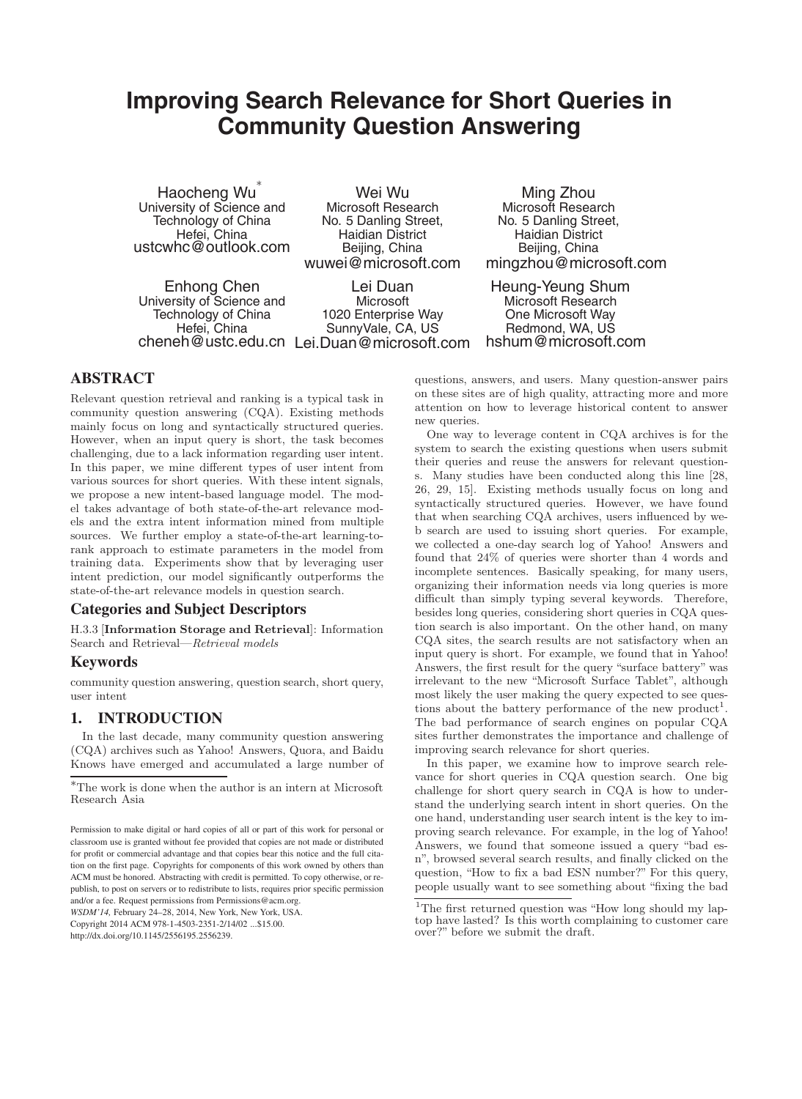# **Improving Search Relevance for Short Queries in Community Question Answering**

Haocheng Wu University of Science and Technology of China Hefei, China ustcwhc@outlook.com

Wei Wu Microsoft Research No. 5 Danling Street, Haidian District Beijing, China wuwei@microsoft.com

Enhong Chen University of Science and Technology of China Hefei, China

cheneh@ustc.edu.cn Lei.Duan@microsoft.com Lei Duan **Microsoft** 1020 Enterprise Way SunnyVale, CA, US

Ming Zhou Microsoft Research No. 5 Danling Street, Haidian District Beijing, China mingzhou@microsoft.com

Heung-Yeung Shum Microsoft Research One Microsoft Way Redmond, WA, US hshum@microsoft.com

# **ABSTRACT**

Relevant question retrieval and ranking is a typical task in community question answering (CQA). Existing methods mainly focus on long and syntactically structured queries. However, when an input query is short, the task becomes challenging, due to a lack information regarding user intent. In this paper, we mine different types of user intent from various sources for short queries. With these intent signals, we propose a new intent-based language model. The model takes advantage of both state-of-the-art relevance models and the extra intent information mined from multiple sources. We further employ a state-of-the-art learning-torank approach to estimate parameters in the model from training data. Experiments show that by leveraging user intent prediction, our model significantly outperforms the state-of-the-art relevance models in question search.

## **Categories and Subject Descriptors**

H.3.3 [**Information Storage and Retrieval**]: Information Search and Retrieval—*Retrieval models*

#### **Keywords**

community question answering, question search, short query, user intent

## **1. INTRODUCTION**

In the last decade, many community question answering (CQA) archives such as Yahoo! Answers, Quora, and Baidu Knows have emerged and accumulated a large number of

*WSDM'14,* February 24–28, 2014, New York, New York, USA. Copyright 2014 ACM 978-1-4503-2351-2/14/02 ...\$15.00. http://dx.doi.org/10.1145/2556195.2556239.

questions, answers, and users. Many question-answer pairs on these sites are of high quality, attracting more and more attention on how to leverage historical content to answer new queries.

One way to leverage content in CQA archives is for the system to search the existing questions when users submit their queries and reuse the answers for relevant questions. Many studies have been conducted along this line [28, 26, 29, 15]. Existing methods usually focus on long and syntactically structured queries. However, we have found that when searching CQA archives, users influenced by web search are used to issuing short queries. For example, we collected a one-day search log of Yahoo! Answers and found that 24% of queries were shorter than 4 words and incomplete sentences. Basically speaking, for many users, organizing their information needs via long queries is more difficult than simply typing several keywords. Therefore, besides long queries, considering short queries in CQA question search is also important. On the other hand, on many CQA sites, the search results are not satisfactory when an input query is short. For example, we found that in Yahoo! Answers, the first result for the query "surface battery" was irrelevant to the new "Microsoft Surface Tablet", although most likely the user making the query expected to see questions about the battery performance of the new product<sup>1</sup>. The bad performance of search engines on popular CQA sites further demonstrates the importance and challenge of improving search relevance for short queries.

In this paper, we examine how to improve search relevance for short queries in CQA question search. One big challenge for short query search in CQA is how to understand the underlying search intent in short queries. On the one hand, understanding user search intent is the key to improving search relevance. For example, in the log of Yahoo! Answers, we found that someone issued a query "bad esn", browsed several search results, and finally clicked on the question, "How to fix a bad ESN number?" For this query, people usually want to see something about "fixing the bad

<sup>∗</sup>The work is done when the author is an intern at Microsoft Research Asia

Permission to make digital or hard copies of all or part of this work for personal or classroom use is granted without fee provided that copies are not made or distributed for profit or commercial advantage and that copies bear this notice and the full citation on the first page. Copyrights for components of this work owned by others than ACM must be honored. Abstracting with credit is permitted. To copy otherwise, or republish, to post on servers or to redistribute to lists, requires prior specific permission and/or a fee. Request permissions from Permissions@acm.org.

<sup>&</sup>lt;sup>1</sup>The first returned question was "How long should my laptop have lasted? Is this worth complaining to customer care over?" before we submit the draft.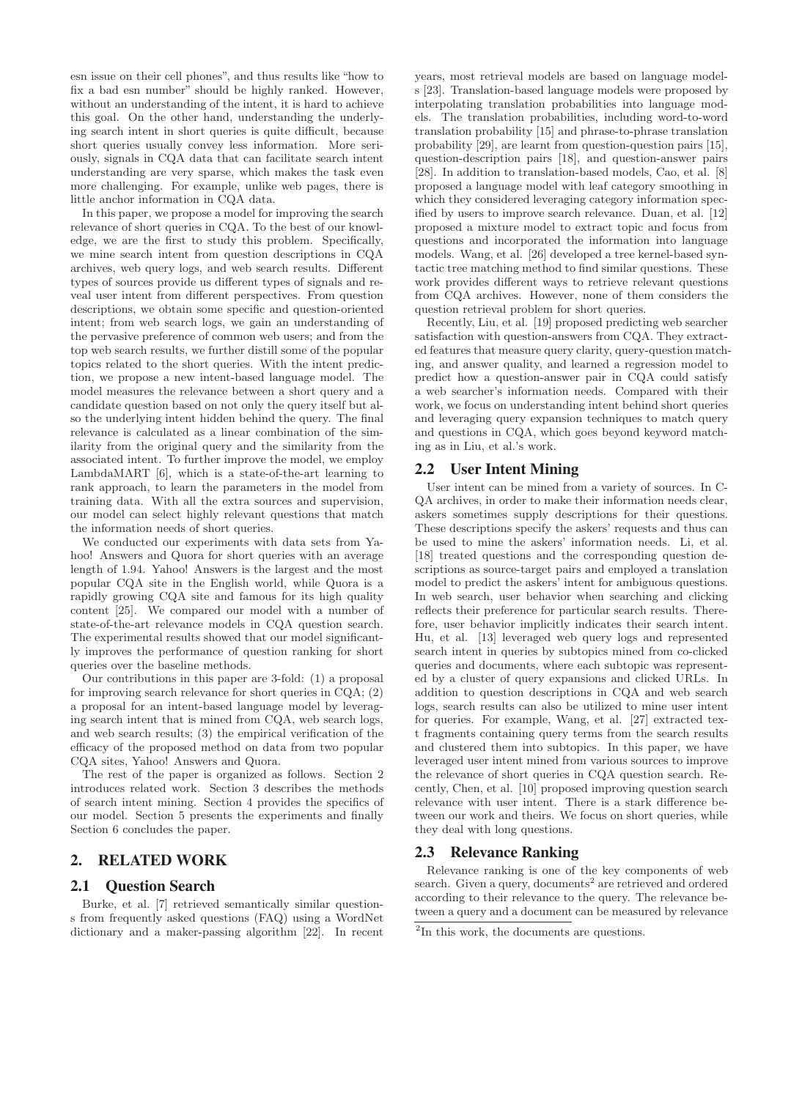esn issue on their cell phones", and thus results like "how to fix a bad esn number" should be highly ranked. However, without an understanding of the intent, it is hard to achieve this goal. On the other hand, understanding the underlying search intent in short queries is quite difficult, because short queries usually convey less information. More seriously, signals in CQA data that can facilitate search intent understanding are very sparse, which makes the task even more challenging. For example, unlike web pages, there is little anchor information in CQA data.

In this paper, we propose a model for improving the search relevance of short queries in CQA. To the best of our knowledge, we are the first to study this problem. Specifically, we mine search intent from question descriptions in CQA archives, web query logs, and web search results. Different types of sources provide us different types of signals and reveal user intent from different perspectives. From question descriptions, we obtain some specific and question-oriented intent; from web search logs, we gain an understanding of the pervasive preference of common web users; and from the top web search results, we further distill some of the popular topics related to the short queries. With the intent prediction, we propose a new intent-based language model. The model measures the relevance between a short query and a candidate question based on not only the query itself but also the underlying intent hidden behind the query. The final relevance is calculated as a linear combination of the similarity from the original query and the similarity from the associated intent. To further improve the model, we employ LambdaMART [6], which is a state-of-the-art learning to rank approach, to learn the parameters in the model from training data. With all the extra sources and supervision, our model can select highly relevant questions that match the information needs of short queries.

We conducted our experiments with data sets from Yahoo! Answers and Quora for short queries with an average length of 1.94. Yahoo! Answers is the largest and the most popular CQA site in the English world, while Quora is a rapidly growing CQA site and famous for its high quality content [25]. We compared our model with a number of state-of-the-art relevance models in CQA question search. The experimental results showed that our model significantly improves the performance of question ranking for short queries over the baseline methods.

Our contributions in this paper are 3-fold: (1) a proposal for improving search relevance for short queries in CQA; (2) a proposal for an intent-based language model by leveraging search intent that is mined from CQA, web search logs, and web search results; (3) the empirical verification of the efficacy of the proposed method on data from two popular CQA sites, Yahoo! Answers and Quora.

The rest of the paper is organized as follows. Section 2 introduces related work. Section 3 describes the methods of search intent mining. Section 4 provides the specifics of our model. Section 5 presents the experiments and finally Section 6 concludes the paper.

## **2. RELATED WORK**

#### **2.1 Question Search**

Burke, et al. [7] retrieved semantically similar questions from frequently asked questions (FAQ) using a WordNet dictionary and a maker-passing algorithm [22]. In recent years, most retrieval models are based on language models [23]. Translation-based language models were proposed by interpolating translation probabilities into language models. The translation probabilities, including word-to-word translation probability [15] and phrase-to-phrase translation probability [29], are learnt from question-question pairs [15], question-description pairs [18], and question-answer pairs [28]. In addition to translation-based models, Cao, et al. [8] proposed a language model with leaf category smoothing in which they considered leveraging category information specified by users to improve search relevance. Duan, et al. [12] proposed a mixture model to extract topic and focus from questions and incorporated the information into language models. Wang, et al. [26] developed a tree kernel-based syntactic tree matching method to find similar questions. These work provides different ways to retrieve relevant questions from CQA archives. However, none of them considers the question retrieval problem for short queries.

Recently, Liu, et al. [19] proposed predicting web searcher satisfaction with question-answers from CQA. They extracted features that measure query clarity, query-question matching, and answer quality, and learned a regression model to predict how a question-answer pair in CQA could satisfy a web searcher's information needs. Compared with their work, we focus on understanding intent behind short queries and leveraging query expansion techniques to match query and questions in CQA, which goes beyond keyword matching as in Liu, et al.'s work.

#### **2.2 User Intent Mining**

User intent can be mined from a variety of sources. In C-QA archives, in order to make their information needs clear, askers sometimes supply descriptions for their questions. These descriptions specify the askers' requests and thus can be used to mine the askers' information needs. Li, et al. [18] treated questions and the corresponding question descriptions as source-target pairs and employed a translation model to predict the askers' intent for ambiguous questions. In web search, user behavior when searching and clicking reflects their preference for particular search results. Therefore, user behavior implicitly indicates their search intent. Hu, et al. [13] leveraged web query logs and represented search intent in queries by subtopics mined from co-clicked queries and documents, where each subtopic was represented by a cluster of query expansions and clicked URLs. In addition to question descriptions in CQA and web search logs, search results can also be utilized to mine user intent for queries. For example, Wang, et al. [27] extracted text fragments containing query terms from the search results and clustered them into subtopics. In this paper, we have leveraged user intent mined from various sources to improve the relevance of short queries in CQA question search. Recently, Chen, et al. [10] proposed improving question search relevance with user intent. There is a stark difference between our work and theirs. We focus on short queries, while they deal with long questions.

#### **2.3 Relevance Ranking**

Relevance ranking is one of the key components of web search. Given a query, documents<sup>2</sup> are retrieved and ordered according to their relevance to the query. The relevance between a query and a document can be measured by relevance

<sup>&</sup>lt;sup>2</sup>In this work, the documents are questions.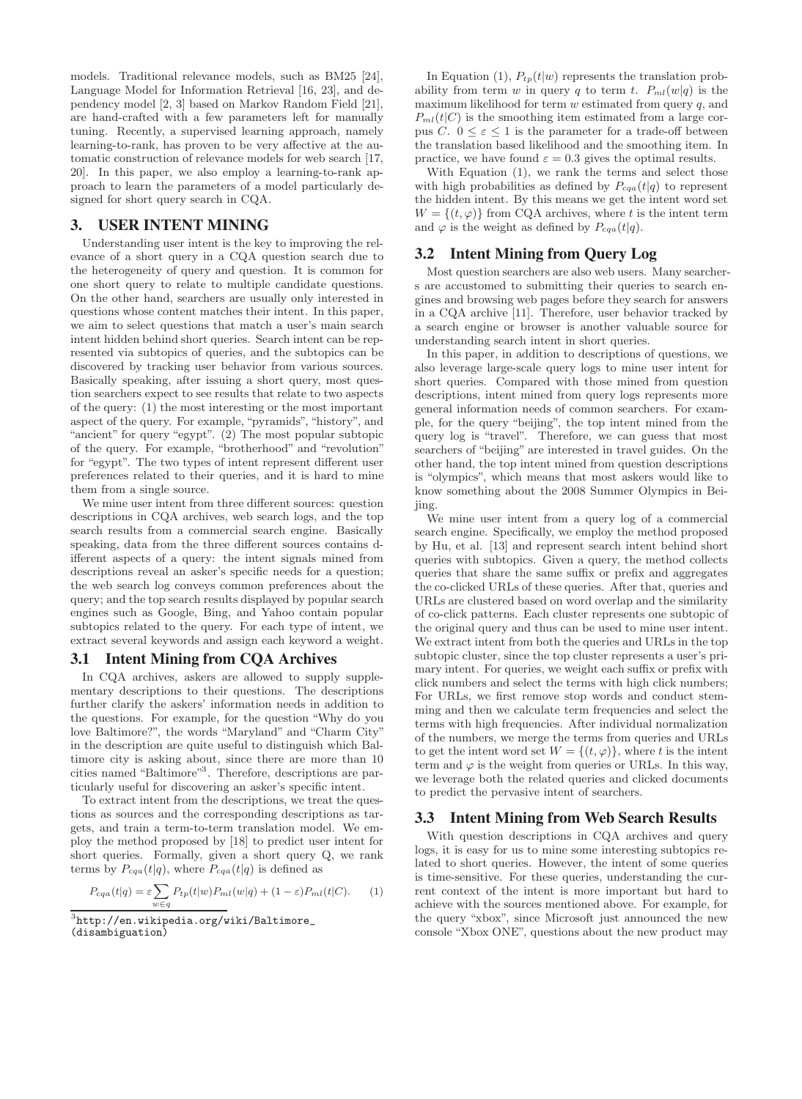models. Traditional relevance models, such as BM25 [24], Language Model for Information Retrieval [16, 23], and dependency model [2, 3] based on Markov Random Field [21], are hand-crafted with a few parameters left for manually tuning. Recently, a supervised learning approach, namely learning-to-rank, has proven to be very affective at the automatic construction of relevance models for web search [17, 20]. In this paper, we also employ a learning-to-rank approach to learn the parameters of a model particularly designed for short query search in CQA.

# **3. USER INTENT MINING**

Understanding user intent is the key to improving the relevance of a short query in a CQA question search due to the heterogeneity of query and question. It is common for one short query to relate to multiple candidate questions. On the other hand, searchers are usually only interested in questions whose content matches their intent. In this paper, we aim to select questions that match a user's main search intent hidden behind short queries. Search intent can be represented via subtopics of queries, and the subtopics can be discovered by tracking user behavior from various sources. Basically speaking, after issuing a short query, most question searchers expect to see results that relate to two aspects of the query: (1) the most interesting or the most important aspect of the query. For example, "pyramids", "history", and "ancient" for query "egypt". (2) The most popular subtopic of the query. For example, "brotherhood" and "revolution" for "egypt". The two types of intent represent different user preferences related to their queries, and it is hard to mine them from a single source.

We mine user intent from three different sources: question descriptions in CQA archives, web search logs, and the top search results from a commercial search engine. Basically speaking, data from the three different sources contains different aspects of a query: the intent signals mined from descriptions reveal an asker's specific needs for a question; the web search log conveys common preferences about the query; and the top search results displayed by popular search engines such as Google, Bing, and Yahoo contain popular subtopics related to the query. For each type of intent, we extract several keywords and assign each keyword a weight.

#### **3.1 Intent Mining from CQA Archives**

In CQA archives, askers are allowed to supply supplementary descriptions to their questions. The descriptions further clarify the askers' information needs in addition to the questions. For example, for the question "Why do you love Baltimore?", the words "Maryland" and "Charm City" in the description are quite useful to distinguish which Baltimore city is asking about, since there are more than 10 cities named "Baltimore"<sup>3</sup>. Therefore, descriptions are particularly useful for discovering an asker's specific intent.

To extract intent from the descriptions, we treat the questions as sources and the corresponding descriptions as targets, and train a term-to-term translation model. We employ the method proposed by [18] to predict user intent for short queries. Formally, given a short query Q, we rank terms by  $P_{cqa}(t|q)$ , where  $P_{cqa}(t|q)$  is defined as

$$
P_{cqa}(t|q) = \varepsilon \sum_{w \in q} P_{tp}(t|w) P_{ml}(w|q) + (1 - \varepsilon) P_{ml}(t|C). \tag{1}
$$

*w*∈*q* <sup>3</sup>http://en.wikipedia.org/wiki/Baltimore\_ (disambiguation)

In Equation (1),  $P_{tp}(t|w)$  represents the translation probability from term w in query q to term t.  $P_{ml}(w|q)$  is the maximum likelihood for term  $w$  estimated from query  $q$ , and  $P_{ml}(t|C)$  is the smoothing item estimated from a large corpus C.  $0 \leq \varepsilon \leq 1$  is the parameter for a trade-off between the translation based likelihood and the smoothing item. In practice, we have found  $\varepsilon = 0.3$  gives the optimal results.

With Equation (1), we rank the terms and select those with high probabilities as defined by  $P_{cqa}(t|q)$  to represent the hidden intent. By this means we get the intent word set  $W = \{(t, \varphi)\}\$ from CQA archives, where t is the intent term and  $\varphi$  is the weight as defined by  $P_{cqa}(t|q)$ .

#### **3.2 Intent Mining from Query Log**

Most question searchers are also web users. Many searchers are accustomed to submitting their queries to search engines and browsing web pages before they search for answers in a CQA archive [11]. Therefore, user behavior tracked by a search engine or browser is another valuable source for understanding search intent in short queries.

In this paper, in addition to descriptions of questions, we also leverage large-scale query logs to mine user intent for short queries. Compared with those mined from question descriptions, intent mined from query logs represents more general information needs of common searchers. For example, for the query "beijing", the top intent mined from the query log is "travel". Therefore, we can guess that most searchers of "beijing" are interested in travel guides. On the other hand, the top intent mined from question descriptions is "olympics", which means that most askers would like to know something about the 2008 Summer Olympics in Beijing.

We mine user intent from a query log of a commercial search engine. Specifically, we employ the method proposed by Hu, et al. [13] and represent search intent behind short queries with subtopics. Given a query, the method collects queries that share the same suffix or prefix and aggregates the co-clicked URLs of these queries. After that, queries and URLs are clustered based on word overlap and the similarity of co-click patterns. Each cluster represents one subtopic of the original query and thus can be used to mine user intent. We extract intent from both the queries and URLs in the top subtopic cluster, since the top cluster represents a user's primary intent. For queries, we weight each suffix or prefix with click numbers and select the terms with high click numbers; For URLs, we first remove stop words and conduct stemming and then we calculate term frequencies and select the terms with high frequencies. After individual normalization of the numbers, we merge the terms from queries and URLs to get the intent word set  $W = \{(t, \varphi)\}\)$ , where t is the intent term and  $\varphi$  is the weight from queries or URLs. In this way, we leverage both the related queries and clicked documents to predict the pervasive intent of searchers.

## **3.3 Intent Mining from Web Search Results**

With question descriptions in CQA archives and query logs, it is easy for us to mine some interesting subtopics related to short queries. However, the intent of some queries is time-sensitive. For these queries, understanding the current context of the intent is more important but hard to achieve with the sources mentioned above. For example, for the query "xbox", since Microsoft just announced the new console "Xbox ONE", questions about the new product may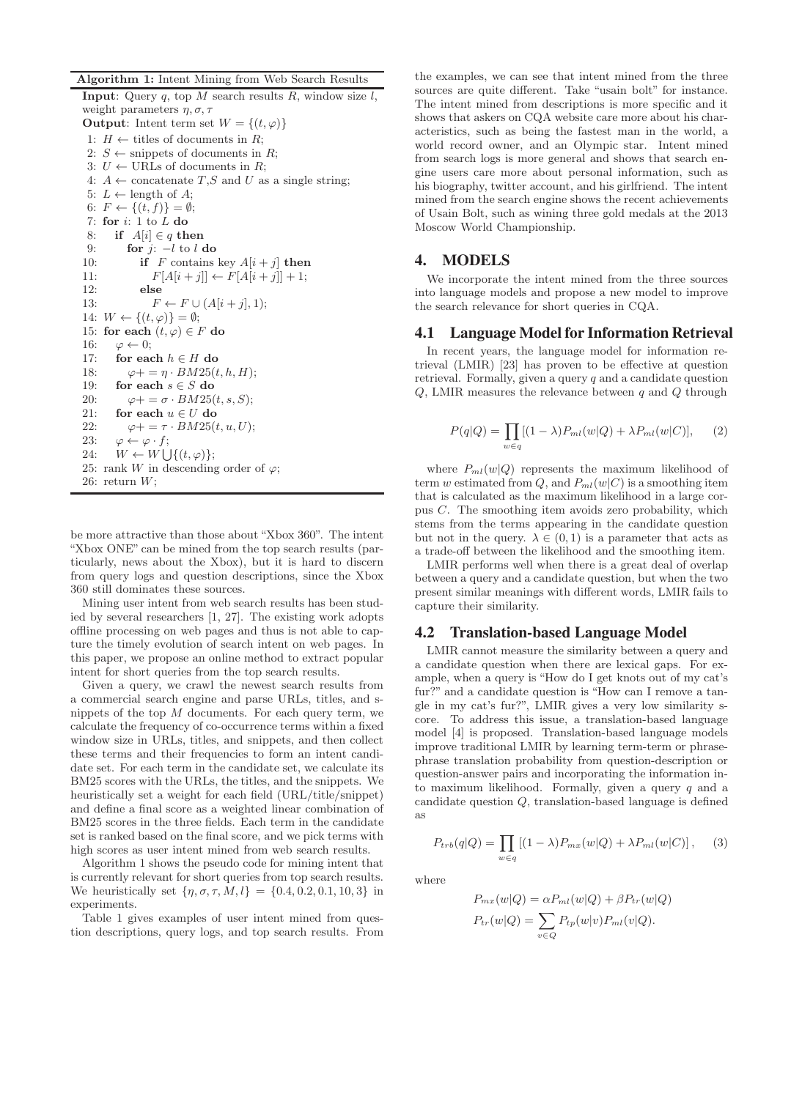**Algorithm 1:** Intent Mining from Web Search Results

**Input**: Query  $q$ , top  $M$  search results  $R$ , window size  $l$ , weight parameters  $\eta$ ,  $\sigma$ ,  $\tau$ **Output**: Intent term set  $W = \{(t, \varphi)\}\$ 1:  $H \leftarrow$  titles of documents in R; 2:  $S \leftarrow$  snippets of documents in R; 3:  $U \leftarrow \text{URLs of documents in } R;$ 4:  $A \leftarrow$  concatenate  $T, S$  and U as a single string; 5:  $L \leftarrow$  length of A; 6:  $F \leftarrow \{(t, f)\} = \emptyset;$ 7: **for** i: 1 to L **do** 8: **if**  $A[i] \in q$  **then** 9: **for** j: −l to l **do** 10: **if** F contains key  $A[i + j]$  **then** 11:  $F[A[i + j]] \leftarrow F[A[i + j]] + 1;$ 12: **else** 13:  $F \leftarrow F \cup (A[i+j], 1);$ 14:  $W \leftarrow \{(t, \varphi)\} = \emptyset;$ 15: **for each**  $(t, \varphi) \in F$  **do** 16:  $\varphi \leftarrow 0$ ; 17: **for each**  $h \in H$  **do** 18:  $\varphi + \varphi = \eta \cdot BM25(t, h, H);$ 19: **for each**  $s \in S$  **do** 20:  $\varphi + \varphi = \sigma \cdot BM25(t, s, S);$ 21: **for each**  $u \in U$  **do** 22:  $\varphi + \equiv \tau \cdot BM25(t, u, U);$ 23:  $\varphi \leftarrow \varphi \cdot f$ ; 24:  $W \leftarrow W \bigcup \{(t, \varphi)\};$ 25: rank W in descending order of  $\varphi$ ; 26: return  $W$ :

be more attractive than those about "Xbox 360". The intent "Xbox ONE" can be mined from the top search results (particularly, news about the Xbox), but it is hard to discern from query logs and question descriptions, since the Xbox 360 still dominates these sources.

Mining user intent from web search results has been studied by several researchers [1, 27]. The existing work adopts offline processing on web pages and thus is not able to capture the timely evolution of search intent on web pages. In this paper, we propose an online method to extract popular intent for short queries from the top search results.

Given a query, we crawl the newest search results from a commercial search engine and parse URLs, titles, and snippets of the top  $M$  documents. For each query term, we calculate the frequency of co-occurrence terms within a fixed window size in URLs, titles, and snippets, and then collect these terms and their frequencies to form an intent candidate set. For each term in the candidate set, we calculate its BM25 scores with the URLs, the titles, and the snippets. We heuristically set a weight for each field (URL/title/snippet) and define a final score as a weighted linear combination of BM25 scores in the three fields. Each term in the candidate set is ranked based on the final score, and we pick terms with high scores as user intent mined from web search results.

Algorithm 1 shows the pseudo code for mining intent that is currently relevant for short queries from top search results. We heuristically set  $\{\eta, \sigma, \tau, M, l\} = \{0.4, 0.2, 0.1, 10, 3\}$  in experiments.

Table 1 gives examples of user intent mined from question descriptions, query logs, and top search results. From the examples, we can see that intent mined from the three sources are quite different. Take "usain bolt" for instance. The intent mined from descriptions is more specific and it shows that askers on CQA website care more about his characteristics, such as being the fastest man in the world, a world record owner, and an Olympic star. Intent mined from search logs is more general and shows that search engine users care more about personal information, such as his biography, twitter account, and his girlfriend. The intent mined from the search engine shows the recent achievements of Usain Bolt, such as wining three gold medals at the 2013 Moscow World Championship.

# **4. MODELS**

We incorporate the intent mined from the three sources into language models and propose a new model to improve the search relevance for short queries in CQA.

## **4.1 Language Model for Information Retrieval**

In recent years, the language model for information retrieval (LMIR) [23] has proven to be effective at question retrieval. Formally, given a query  $q$  and a candidate question  $Q$ , LMIR measures the relevance between q and  $Q$  through

$$
P(q|Q) = \prod_{w \in q} [(1 - \lambda)P_{ml}(w|Q) + \lambda P_{ml}(w|C)], \qquad (2)
$$

where  $P_{ml}(w|Q)$  represents the maximum likelihood of term w estimated from  $Q$ , and  $P_{ml}(w|C)$  is a smoothing item that is calculated as the maximum likelihood in a large corpus C. The smoothing item avoids zero probability, which stems from the terms appearing in the candidate question but not in the query.  $\lambda \in (0,1)$  is a parameter that acts as a trade-off between the likelihood and the smoothing item.

LMIR performs well when there is a great deal of overlap between a query and a candidate question, but when the two present similar meanings with different words, LMIR fails to capture their similarity.

# **4.2 Translation-based Language Model**

LMIR cannot measure the similarity between a query and a candidate question when there are lexical gaps. For example, when a query is "How do I get knots out of my cat's fur?" and a candidate question is "How can I remove a tangle in my cat's fur?", LMIR gives a very low similarity score. To address this issue, a translation-based language model [4] is proposed. Translation-based language models improve traditional LMIR by learning term-term or phrasephrase translation probability from question-description or question-answer pairs and incorporating the information into maximum likelihood. Formally, given a query  $q$  and a candidate question Q, translation-based language is defined as

$$
P_{trb}(q|Q) = \prod_{w \in q} [(1-\lambda)P_{mx}(w|Q) + \lambda P_{ml}(w|C)], \quad (3)
$$

where

$$
P_{mx}(w|Q) = \alpha P_{ml}(w|Q) + \beta P_{tr}(w|Q)
$$

$$
P_{tr}(w|Q) = \sum_{v \in Q} P_{tp}(w|v) P_{ml}(v|Q).
$$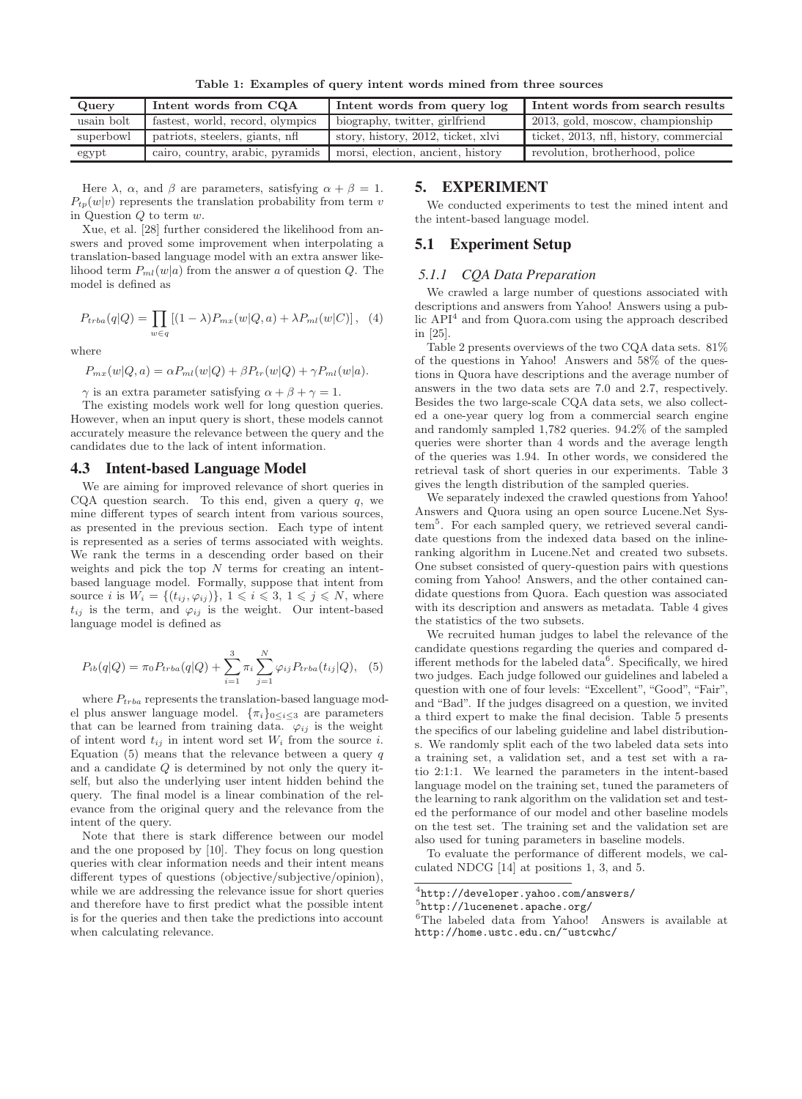**Table 1: Examples of query intent words mined from three sources**

| Query            | Intent words from CQA            | Intent words from query log        | Intent words from search results       |
|------------------|----------------------------------|------------------------------------|----------------------------------------|
| usain bolt       | fastest, world, record, olympics | biography, twitter, girlfriend     | 2013, gold, moscow, championship       |
| superbowl        | patriots, steelers, giants, nfl  | story, history, 2012, ticket, xlvi | ticket, 2013, nfl, history, commercial |
| $\mathrm{egypt}$ | cairo, country, arabic, pyramids | morsi, election, ancient, history  | revolution, brotherhood, police        |

Here  $\lambda$ ,  $\alpha$ , and  $\beta$  are parameters, satisfying  $\alpha + \beta = 1$ .  $P_{tp}(w|v)$  represents the translation probability from term v in Question  $Q$  to term  $w$ .

Xue, et al. [28] further considered the likelihood from answers and proved some improvement when interpolating a translation-based language model with an extra answer likelihood term  $P_{ml}(w|a)$  from the answer a of question  $Q$ . The model is defined as

$$
P_{trba}(q|Q) = \prod_{w \in q} [(1-\lambda)P_{mx}(w|Q, a) + \lambda P_{ml}(w|C)], \quad (4)
$$

where

$$
P_{mx}(w|Q,a) = \alpha P_{ml}(w|Q) + \beta P_{tr}(w|Q) + \gamma P_{ml}(w|a).
$$

 $\gamma$  is an extra parameter satisfying  $\alpha + \beta + \gamma = 1$ .

The existing models work well for long question queries. However, when an input query is short, these models cannot accurately measure the relevance between the query and the candidates due to the lack of intent information.

#### **4.3 Intent-based Language Model**

We are aiming for improved relevance of short queries in CQA question search. To this end, given a query  $q$ , we mine different types of search intent from various sources, as presented in the previous section. Each type of intent is represented as a series of terms associated with weights. We rank the terms in a descending order based on their weights and pick the top  $N$  terms for creating an intentbased language model. Formally, suppose that intent from source *i* is  $W_i = \{(t_{ij}, \varphi_{ij})\}, 1 \leq i \leq 3, 1 \leq j \leq N$ , where  $t_{ij}$  is the term, and  $\varphi_{ij}$  is the weight. Our intent-based language model is defined as

$$
P_{ib}(q|Q) = \pi_0 P_{trba}(q|Q) + \sum_{i=1}^{3} \pi_i \sum_{j=1}^{N} \varphi_{ij} P_{trba}(t_{ij}|Q), \quad (5)
$$

where  $P_{trba}$  represents the translation-based language model plus answer language model.  $\{\pi_i\}_{0 \leq i \leq 3}$  are parameters that can be learned from training data.  $\varphi_{ij}$  is the weight of intent word  $t_{ij}$  in intent word set  $W_i$  from the source i. Equation  $(5)$  means that the relevance between a query q and a candidate Q is determined by not only the query itself, but also the underlying user intent hidden behind the query. The final model is a linear combination of the relevance from the original query and the relevance from the intent of the query.

Note that there is stark difference between our model and the one proposed by [10]. They focus on long question queries with clear information needs and their intent means different types of questions (objective/subjective/opinion), while we are addressing the relevance issue for short queries and therefore have to first predict what the possible intent is for the queries and then take the predictions into account when calculating relevance.

## **5. EXPERIMENT**

We conducted experiments to test the mined intent and the intent-based language model.

## **5.1 Experiment Setup**

#### *5.1.1 CQA Data Preparation*

We crawled a large number of questions associated with descriptions and answers from Yahoo! Answers using a public  $API<sup>4</sup>$  and from Quora.com using the approach described in [25].

Table 2 presents overviews of the two CQA data sets. 81% of the questions in Yahoo! Answers and 58% of the questions in Quora have descriptions and the average number of answers in the two data sets are 7.0 and 2.7, respectively. Besides the two large-scale CQA data sets, we also collected a one-year query log from a commercial search engine and randomly sampled 1,782 queries. 94.2% of the sampled queries were shorter than 4 words and the average length of the queries was 1.94. In other words, we considered the retrieval task of short queries in our experiments. Table 3 gives the length distribution of the sampled queries.

We separately indexed the crawled questions from Yahoo! Answers and Quora using an open source Lucene.Net System<sup>5</sup>. For each sampled query, we retrieved several candidate questions from the indexed data based on the inlineranking algorithm in Lucene.Net and created two subsets. One subset consisted of query-question pairs with questions coming from Yahoo! Answers, and the other contained candidate questions from Quora. Each question was associated with its description and answers as metadata. Table 4 gives the statistics of the two subsets.

We recruited human judges to label the relevance of the candidate questions regarding the queries and compared different methods for the labeled data<sup>6</sup>. Specifically, we hired two judges. Each judge followed our guidelines and labeled a question with one of four levels: "Excellent", "Good", "Fair", and "Bad". If the judges disagreed on a question, we invited a third expert to make the final decision. Table 5 presents the specifics of our labeling guideline and label distributions. We randomly split each of the two labeled data sets into a training set, a validation set, and a test set with a ratio 2:1:1. We learned the parameters in the intent-based language model on the training set, tuned the parameters of the learning to rank algorithm on the validation set and tested the performance of our model and other baseline models on the test set. The training set and the validation set are also used for tuning parameters in baseline models.

To evaluate the performance of different models, we calculated NDCG [14] at positions 1, 3, and 5.

<sup>4</sup>http://developer.yahoo.com/answers/

<sup>5</sup>http://lucenenet.apache.org/

<sup>6</sup>The labeled data from Yahoo! Answers is available at http://home.ustc.edu.cn/~ustcwhc/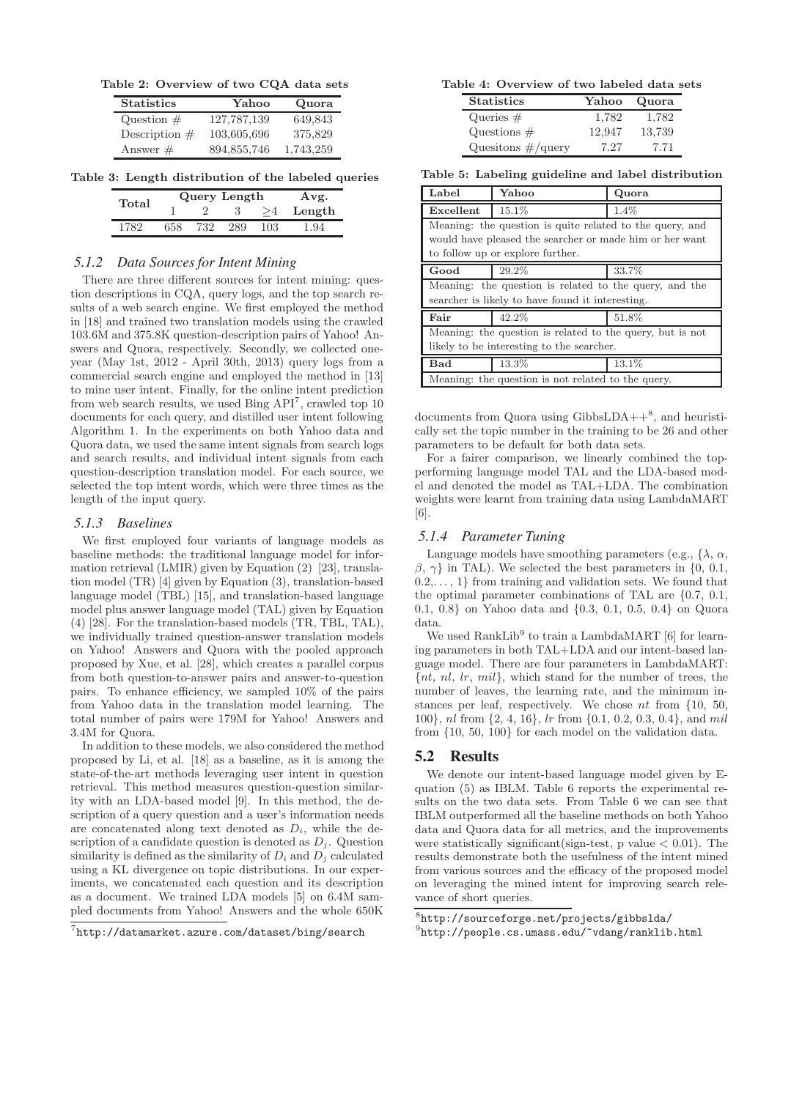**Table 2: Overview of two CQA data sets**

| <b>Statistics</b> | Yahoo       | Quora     |  |
|-------------------|-------------|-----------|--|
| Question $#$      | 127,787,139 | 649,843   |  |
| Description $#$   | 103,605,696 | 375,829   |  |
| Answer $#$        | 894,855,746 | 1,743,259 |  |

**Table 3: Length distribution of the labeled queries**

| Total | Query Length |     |  |     | Avg.   |
|-------|--------------|-----|--|-----|--------|
|       |              |     |  |     | Length |
| 1789  | 658          | 732 |  | 103 | 1.94   |

#### *5.1.2 Data Sources for Intent Mining*

There are three different sources for intent mining: question descriptions in CQA, query logs, and the top search results of a web search engine. We first employed the method in [18] and trained two translation models using the crawled 103.6M and 375.8K question-description pairs of Yahoo! Answers and Quora, respectively. Secondly, we collected oneyear (May 1st, 2012 - April 30th, 2013) query logs from a commercial search engine and employed the method in [13] to mine user intent. Finally, for the online intent prediction from web search results, we used Bing  $API<sup>7</sup>$ , crawled top 10 documents for each query, and distilled user intent following Algorithm 1. In the experiments on both Yahoo data and Quora data, we used the same intent signals from search logs and search results, and individual intent signals from each question-description translation model. For each source, we selected the top intent words, which were three times as the length of the input query.

#### *5.1.3 Baselines*

We first employed four variants of language models as baseline methods: the traditional language model for information retrieval (LMIR) given by Equation (2) [23], translation model (TR) [4] given by Equation (3), translation-based language model (TBL) [15], and translation-based language model plus answer language model (TAL) given by Equation (4) [28]. For the translation-based models (TR, TBL, TAL), we individually trained question-answer translation models on Yahoo! Answers and Quora with the pooled approach proposed by Xue, et al. [28], which creates a parallel corpus from both question-to-answer pairs and answer-to-question pairs. To enhance efficiency, we sampled 10% of the pairs from Yahoo data in the translation model learning. The total number of pairs were 179M for Yahoo! Answers and 3.4M for Quora.

In addition to these models, we also considered the method proposed by Li, et al. [18] as a baseline, as it is among the state-of-the-art methods leveraging user intent in question retrieval. This method measures question-question similarity with an LDA-based model [9]. In this method, the description of a query question and a user's information needs are concatenated along text denoted as  $D_i$ , while the description of a candidate question is denoted as  $D_j$ . Question similarity is defined as the similarity of  $D_i$  and  $D_j$  calculated using a KL divergence on topic distributions. In our experiments, we concatenated each question and its description as a document. We trained LDA models [5] on 6.4M sampled documents from Yahoo! Answers and the whole 650K

#### **Table 4: Overview of two labeled data sets**

| <b>Statistics</b>      | Yahoo  | Quora  |
|------------------------|--------|--------|
| Queries $#$            | 1,782  | 1,782  |
| Questions $#$          | 12.947 | 13.739 |
| Quesitions $\#/$ query | 7.27   | 7.71   |

**Table 5: Labeling guideline and label distribution**

| Label                                                     | Yahoo                                                    | Quora |  |  |  |  |  |
|-----------------------------------------------------------|----------------------------------------------------------|-------|--|--|--|--|--|
| Excellent                                                 | 15.1%                                                    | 1.4%  |  |  |  |  |  |
|                                                           | Meaning: the question is quite related to the query, and |       |  |  |  |  |  |
|                                                           | would have pleased the searcher or made him or her want  |       |  |  |  |  |  |
|                                                           | to follow up or explore further.                         |       |  |  |  |  |  |
| Good                                                      | 29.2%                                                    | 33.7% |  |  |  |  |  |
|                                                           | Meaning: the question is related to the query, and the   |       |  |  |  |  |  |
|                                                           | searcher is likely to have found it interesting.         |       |  |  |  |  |  |
| 42.2%<br>Fair                                             |                                                          | 51.8% |  |  |  |  |  |
| Meaning: the question is related to the query, but is not |                                                          |       |  |  |  |  |  |
| likely to be interesting to the searcher.                 |                                                          |       |  |  |  |  |  |
| 13.3%<br>Bad                                              |                                                          | 13.1% |  |  |  |  |  |
| Meaning: the question is not related to the query.        |                                                          |       |  |  |  |  |  |

documents from Quora using GibbsLDA++ $8$ , and heuristically set the topic number in the training to be 26 and other parameters to be default for both data sets.

For a fairer comparison, we linearly combined the topperforming language model TAL and the LDA-based model and denoted the model as TAL+LDA. The combination weights were learnt from training data using LambdaMART [6].

#### *5.1.4 Parameter Tuning*

Language models have smoothing parameters (e.g.,  $\{\lambda, \alpha, \beta\}$  $\beta$ ,  $\gamma$ } in TAL). We selected the best parameters in {0, 0.1,  $0.2, \ldots, 1$  from training and validation sets. We found that the optimal parameter combinations of TAL are {0.7, 0.1, 0.1, 0.8} on Yahoo data and {0.3, 0.1, 0.5, 0.4} on Quora data.

We used RankLib<sup>9</sup> to train a LambdaMART  $[6]$  for learning parameters in both TAL+LDA and our intent-based language model. There are four parameters in LambdaMART:  $\{nt, nl, lr, mil\}$ , which stand for the number of trees, the number of leaves, the learning rate, and the minimum instances per leaf, respectively. We chose nt from {10, 50, 100}, nl from {2, 4, 16}, lr from {0.1, 0.2, 0.3, 0.4}, and mil from {10, 50, 100} for each model on the validation data.

## **5.2 Results**

We denote our intent-based language model given by Equation (5) as IBLM. Table 6 reports the experimental results on the two data sets. From Table 6 we can see that IBLM outperformed all the baseline methods on both Yahoo data and Quora data for all metrics, and the improvements were statistically significant (sign-test, p value  $< 0.01$ ). The results demonstrate both the usefulness of the intent mined from various sources and the efficacy of the proposed model on leveraging the mined intent for improving search relevance of short queries.

<sup>8</sup>http://sourceforge.net/projects/gibbslda/

<sup>7</sup>http://datamarket.azure.com/dataset/bing/search

 $^{9}$ http://people.cs.umass.edu/~vdang/ranklib.html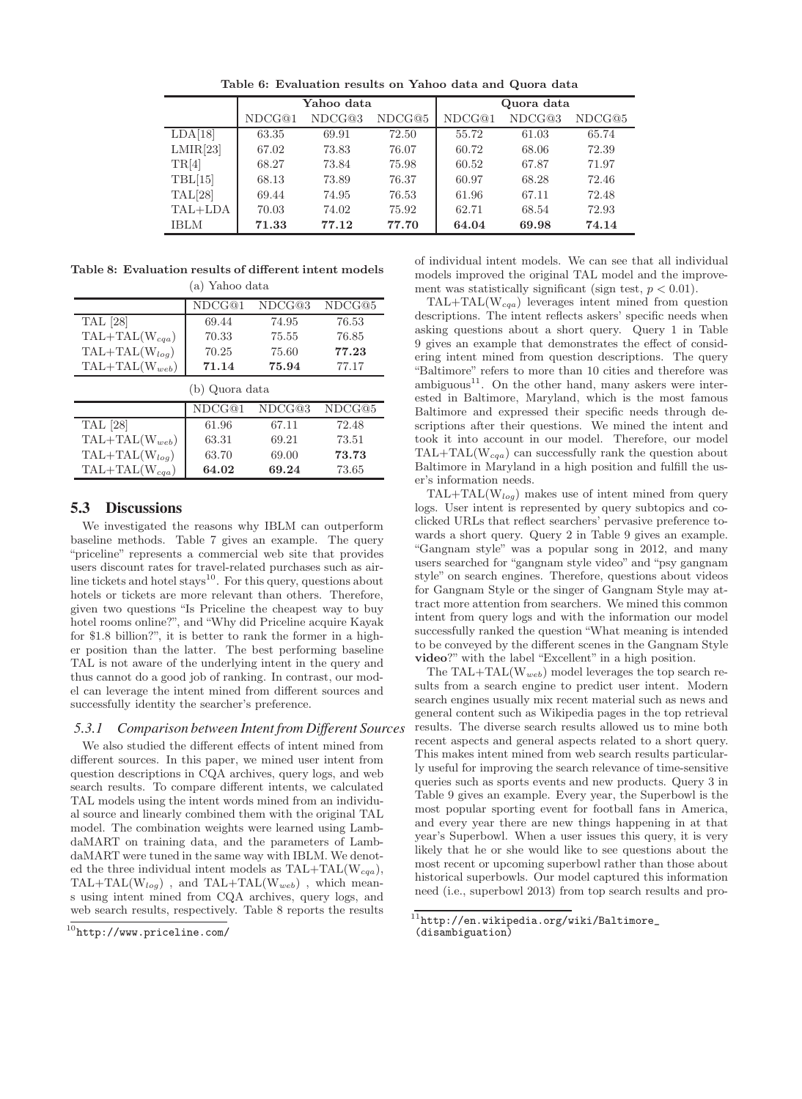**Table 6: Evaluation results on Yahoo data and Quora data**

|                  | Yahoo data |        |        | Quora data |        |        |
|------------------|------------|--------|--------|------------|--------|--------|
|                  | NDCG@1     | NDCG@3 | NDCG@5 | NDCG@1     | NDCG@3 | NDCG@5 |
| LDA[18]          | 63.35      | 69.91  | 72.50  | 55.72      | 61.03  | 65.74  |
| LMIR[23]         | 67.02      | 73.83  | 76.07  | 60.72      | 68.06  | 72.39  |
| TR[4]            | 68.27      | 73.84  | 75.98  | 60.52      | 67.87  | 71.97  |
| TBL[15]          | 68.13      | 73.89  | 76.37  | 60.97      | 68.28  | 72.46  |
| $\text{TAL}[28]$ | 69.44      | 74.95  | 76.53  | 61.96      | 67.11  | 72.48  |
| TAL+LDA          | 70.03      | 74.02  | 75.92  | 62.71      | 68.54  | 72.93  |
| IBLM             | 71.33      | 77.12  | 77.70  | 64.04      | 69.98  | 74.14  |

**Table 8: Evaluation results of different intent models** (a) Yahoo data

|                    | NDCG@1         | NDCG@3 | NDCG@5 |
|--------------------|----------------|--------|--------|
| <b>TAL</b> [28]    | 69.44          | 74.95  | 76.53  |
| $TAL+TAL(W_{cga})$ | 70.33          | 75.55  | 76.85  |
| $TAL+TAL(W_{log})$ | 70.25          | 75.60  | 77.23  |
| $TAL+TAL(W_{web})$ | 71.14          | 75.94  | 77.17  |
|                    | (b) Quora data |        |        |
|                    | NDCG@1         | NDCG@3 | NDCG@5 |
| <b>TAL</b> [28]    | 61.96          | 67.11  | 72.48  |
| $TAL+TAL(W_{web})$ | 63.31          | 69.21  | 73.51  |
| $TAL+TAL(Wloq)$    | 63.70          | 69.00  | 73.73  |
| $TAL+TAL(W_{cqa})$ | 64.02          | 69.24  | 73.65  |

# **5.3 Discussions**

We investigated the reasons why IBLM can outperform baseline methods. Table 7 gives an example. The query "priceline" represents a commercial web site that provides users discount rates for travel-related purchases such as airline tickets and hotel stays $^{10}$ . For this query, questions about hotels or tickets are more relevant than others. Therefore, given two questions "Is Priceline the cheapest way to buy hotel rooms online?", and "Why did Priceline acquire Kayak for \$1.8 billion?", it is better to rank the former in a higher position than the latter. The best performing baseline TAL is not aware of the underlying intent in the query and thus cannot do a good job of ranking. In contrast, our model can leverage the intent mined from different sources and successfully identity the searcher's preference.

*5.3.1 Comparison between Intent from Different Sources*

We also studied the different effects of intent mined from different sources. In this paper, we mined user intent from question descriptions in CQA archives, query logs, and web search results. To compare different intents, we calculated TAL models using the intent words mined from an individual source and linearly combined them with the original TAL model. The combination weights were learned using LambdaMART on training data, and the parameters of LambdaMART were tuned in the same way with IBLM. We denoted the three individual intent models as TAL+TAL(W*cqa*), TAL+TAL(W*log*) , and TAL+TAL(W*web*) , which means using intent mined from CQA archives, query logs, and web search results, respectively. Table 8 reports the results

of individual intent models. We can see that all individual models improved the original TAL model and the improvement was statistically significant (sign test,  $p < 0.01$ ).

TAL+TAL(W*cqa*) leverages intent mined from question descriptions. The intent reflects askers' specific needs when asking questions about a short query. Query 1 in Table 9 gives an example that demonstrates the effect of considering intent mined from question descriptions. The query "Baltimore" refers to more than 10 cities and therefore was  $ambiguous<sup>11</sup>$ . On the other hand, many askers were interested in Baltimore, Maryland, which is the most famous Baltimore and expressed their specific needs through descriptions after their questions. We mined the intent and took it into account in our model. Therefore, our model TAL+TAL(W*cqa*) can successfully rank the question about Baltimore in Maryland in a high position and fulfill the user's information needs.

TAL+TAL(W*log*) makes use of intent mined from query logs. User intent is represented by query subtopics and coclicked URLs that reflect searchers' pervasive preference towards a short query. Query 2 in Table 9 gives an example. "Gangnam style" was a popular song in 2012, and many users searched for "gangnam style video" and "psy gangnam style" on search engines. Therefore, questions about videos for Gangnam Style or the singer of Gangnam Style may attract more attention from searchers. We mined this common intent from query logs and with the information our model successfully ranked the question "What meaning is intended to be conveyed by the different scenes in the Gangnam Style **video**?" with the label "Excellent" in a high position.

The TAL+TAL(W*web*) model leverages the top search results from a search engine to predict user intent. Modern search engines usually mix recent material such as news and general content such as Wikipedia pages in the top retrieval results. The diverse search results allowed us to mine both recent aspects and general aspects related to a short query. This makes intent mined from web search results particularly useful for improving the search relevance of time-sensitive queries such as sports events and new products. Query 3 in Table 9 gives an example. Every year, the Superbowl is the most popular sporting event for football fans in America, and every year there are new things happening in at that year's Superbowl. When a user issues this query, it is very likely that he or she would like to see questions about the most recent or upcoming superbowl rather than those about historical superbowls. Our model captured this information need (i.e., superbowl 2013) from top search results and pro-

 $^{10}$ http://www.priceline.com/

 $^{11}$ http://en.wikipedia.org/wiki/Baltimore\_ (disambiguation)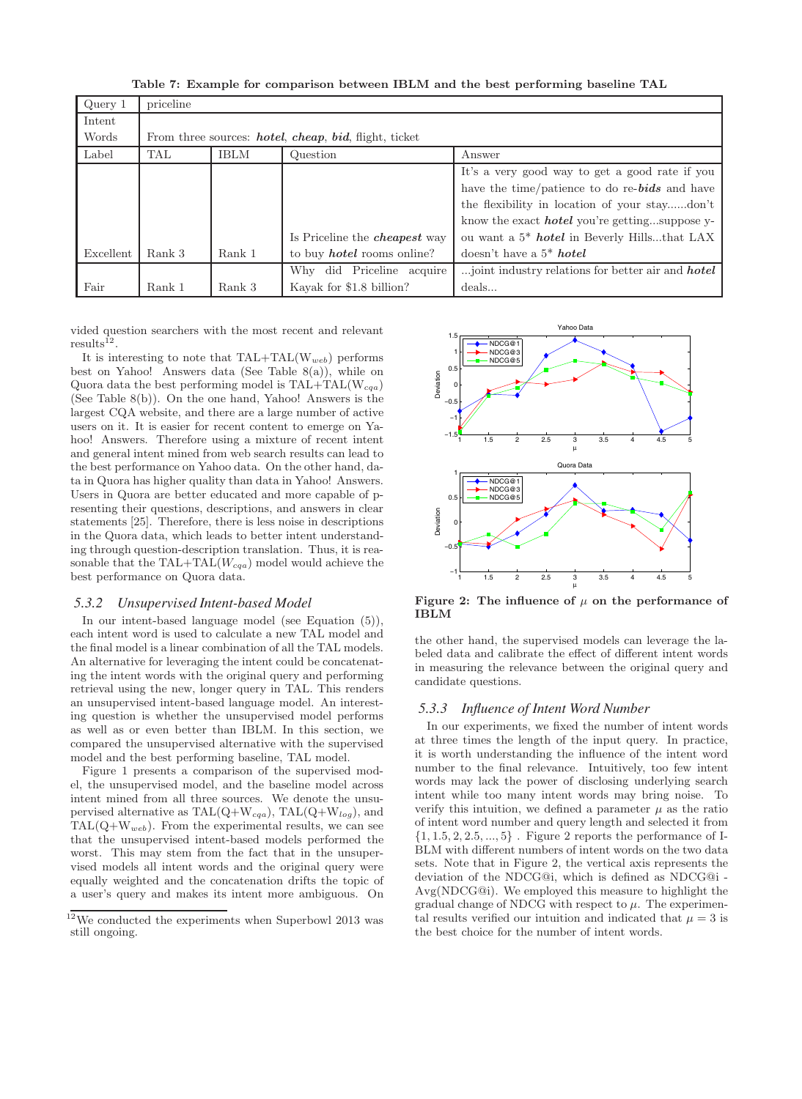**Table 7: Example for comparison between IBLM and the best performing baseline TAL**

| Query 1   | priceline |             |                                                              |                                                          |  |  |
|-----------|-----------|-------------|--------------------------------------------------------------|----------------------------------------------------------|--|--|
| Intent    |           |             |                                                              |                                                          |  |  |
| Words     |           |             | From three sources: <i>hotel, cheap, bid, flight, ticket</i> |                                                          |  |  |
| Label     | TAL       | <b>IBLM</b> | Question                                                     | Answer                                                   |  |  |
|           |           |             |                                                              | It's a very good way to get a good rate if you           |  |  |
|           |           |             |                                                              | have the time/patience to do re-bids and have            |  |  |
|           |           |             |                                                              | the flexibility in location of your staydon't            |  |  |
|           |           |             |                                                              | know the exact <i>hotel</i> you're gettingsuppose y-     |  |  |
|           |           |             | Is Priceline the <i>cheapest</i> way                         | ou want a 5 <sup>*</sup> hotel in Beverly Hillsthat LAX  |  |  |
| Excellent | Rank 3    | Rank 1      | to buy <i>hotel</i> rooms online?                            | doesn't have a $5^*$ hotel                               |  |  |
|           |           |             | Why did Priceline<br>acquire                                 | joint industry relations for better air and <b>hotel</b> |  |  |
| Fair      | Rank 1    | Rank 3      | Kayak for \$1.8 billion?                                     | deals                                                    |  |  |

vided question searchers with the most recent and relevant  $results^{12}$ .

It is interesting to note that  $\text{TAL}+\text{TAL}(W_{web})$  performs best on Yahoo! Answers data (See Table 8(a)), while on Quora data the best performing model is TAL+TAL(W*cqa*) (See Table 8(b)). On the one hand, Yahoo! Answers is the largest CQA website, and there are a large number of active users on it. It is easier for recent content to emerge on Yahoo! Answers. Therefore using a mixture of recent intent and general intent mined from web search results can lead to the best performance on Yahoo data. On the other hand, data in Quora has higher quality than data in Yahoo! Answers. Users in Quora are better educated and more capable of presenting their questions, descriptions, and answers in clear statements [25]. Therefore, there is less noise in descriptions in the Quora data, which leads to better intent understanding through question-description translation. Thus, it is reasonable that the TAL+TAL(W*cqa*) model would achieve the best performance on Quora data.

#### *5.3.2 Unsupervised Intent-based Model*

In our intent-based language model (see Equation (5)), each intent word is used to calculate a new TAL model and the final model is a linear combination of all the TAL models. An alternative for leveraging the intent could be concatenating the intent words with the original query and performing retrieval using the new, longer query in TAL. This renders an unsupervised intent-based language model. An interesting question is whether the unsupervised model performs as well as or even better than IBLM. In this section, we compared the unsupervised alternative with the supervised model and the best performing baseline, TAL model.

Figure 1 presents a comparison of the supervised model, the unsupervised model, and the baseline model across intent mined from all three sources. We denote the unsupervised alternative as TAL(Q+W*cqa*), TAL(Q+W*log*), and  $TAL(Q+W_{web})$ . From the experimental results, we can see that the unsupervised intent-based models performed the worst. This may stem from the fact that in the unsupervised models all intent words and the original query were equally weighted and the concatenation drifts the topic of a user's query and makes its intent more ambiguous. On



**Figure 2:** The influence of  $\mu$  on the performance of **IBLM**

the other hand, the supervised models can leverage the labeled data and calibrate the effect of different intent words in measuring the relevance between the original query and candidate questions.

#### *5.3.3 Influence of Intent Word Number*

In our experiments, we fixed the number of intent words at three times the length of the input query. In practice, it is worth understanding the influence of the intent word number to the final relevance. Intuitively, too few intent words may lack the power of disclosing underlying search intent while too many intent words may bring noise. To verify this intuition, we defined a parameter  $\mu$  as the ratio of intent word number and query length and selected it from  $\{1, 1.5, 2, 2.5, ..., 5\}$ . Figure 2 reports the performance of I-BLM with different numbers of intent words on the two data sets. Note that in Figure 2, the vertical axis represents the deviation of the NDCG@i, which is defined as NDCG@i - Avg(NDCG@i). We employed this measure to highlight the gradual change of NDCG with respect to  $\mu$ . The experimental results verified our intuition and indicated that  $\mu = 3$  is the best choice for the number of intent words.

 $^{12}\rm{We}$  conducted the experiments when Superbowl 2013 was still ongoing.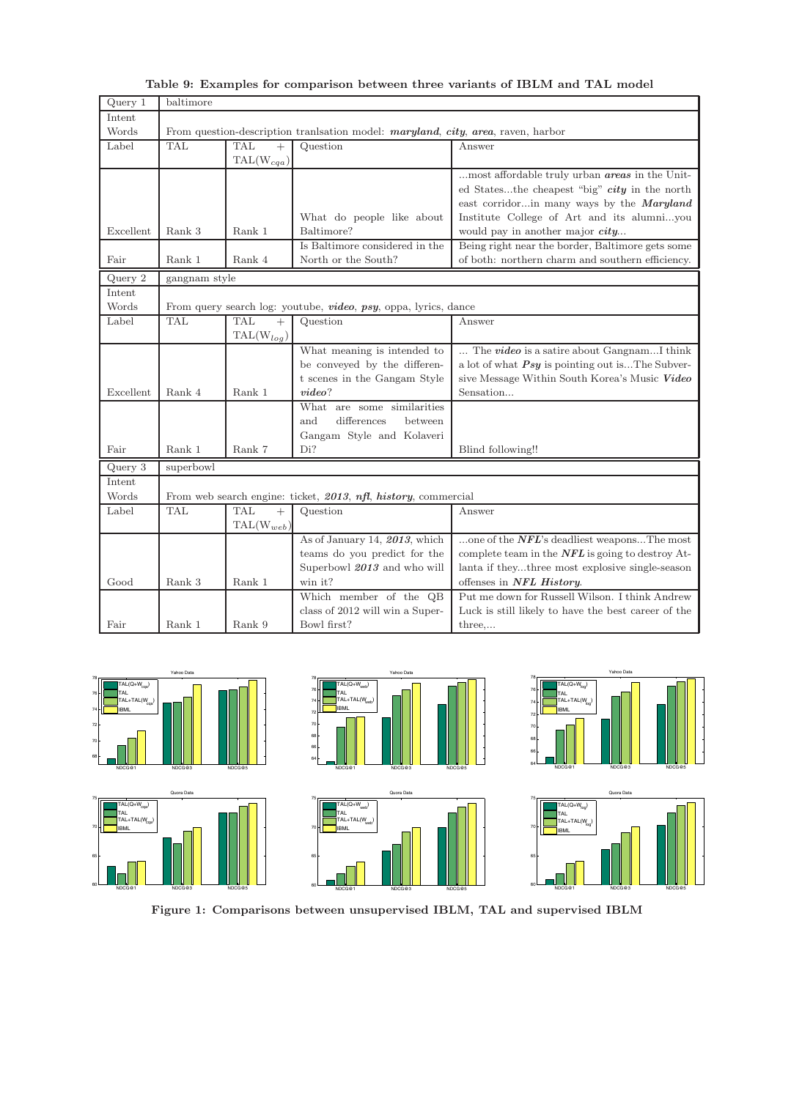| Query 1   | baltimore                                                                               |                                |                                                                 |                                                       |  |  |
|-----------|-----------------------------------------------------------------------------------------|--------------------------------|-----------------------------------------------------------------|-------------------------------------------------------|--|--|
| Intent    |                                                                                         |                                |                                                                 |                                                       |  |  |
| Words     | From question-description translation model: <i>maryland, city, area, raven, harbor</i> |                                |                                                                 |                                                       |  |  |
| Label     | <b>TAL</b>                                                                              | <b>TAL</b><br>$+$              | Question                                                        | Answer                                                |  |  |
|           |                                                                                         | $\text{TAL}(\text{W}_{cqa})$   |                                                                 |                                                       |  |  |
|           |                                                                                         |                                |                                                                 | most affordable truly urban <i>areas</i> in the Unit- |  |  |
|           |                                                                                         |                                |                                                                 | ed Statesthe cheapest "big" city in the north         |  |  |
|           |                                                                                         |                                |                                                                 | east corridorin many ways by the Maryland             |  |  |
|           |                                                                                         |                                | What do people like about                                       | Institute College of Art and its alumniyou            |  |  |
| Excellent | Rank 3                                                                                  | Rank 1                         | Baltimore?                                                      | would pay in another major city                       |  |  |
|           |                                                                                         |                                | Is Baltimore considered in the                                  | Being right near the border, Baltimore gets some      |  |  |
| Fair      | Rank 1                                                                                  | Rank 4                         | North or the South?                                             | of both: northern charm and southern efficiency.      |  |  |
| Query 2   | gangnam style                                                                           |                                |                                                                 |                                                       |  |  |
| Intent    |                                                                                         |                                |                                                                 |                                                       |  |  |
| Words     |                                                                                         |                                | From query search log: youtube, video, psy, oppa, lyrics, dance |                                                       |  |  |
| Label     | <b>TAL</b>                                                                              | <b>TAL</b><br>$^{+}$           | Question                                                        | Answer                                                |  |  |
|           |                                                                                         | $\text{TAL}(\text{W}_{log})$   |                                                                 |                                                       |  |  |
|           |                                                                                         |                                | What meaning is intended to                                     | The <b>video</b> is a satire about GangnamI think     |  |  |
|           |                                                                                         |                                | be conveyed by the differen-                                    | a lot of what $Psy$ is pointing out isThe Subver-     |  |  |
|           |                                                                                         |                                | t scenes in the Gangam Style                                    | sive Message Within South Korea's Music Video         |  |  |
| Excellent | Rank 4                                                                                  | Rank 1                         | video?                                                          | Sensation                                             |  |  |
|           |                                                                                         |                                | What are some similarities                                      |                                                       |  |  |
|           |                                                                                         |                                | differences<br>between<br>and                                   |                                                       |  |  |
|           |                                                                                         |                                | Gangam Style and Kolaveri                                       |                                                       |  |  |
| Fair      | Rank 1                                                                                  | Rank 7                         | Di?                                                             | Blind following!!                                     |  |  |
| Query 3   | superbowl                                                                               |                                |                                                                 |                                                       |  |  |
| Intent    |                                                                                         |                                |                                                                 |                                                       |  |  |
| Words     |                                                                                         |                                | From web search engine: ticket, 2013, nfl, history, commercial  |                                                       |  |  |
| Label     | TAL.                                                                                    | <b>TAL</b><br>$+$              | Question                                                        | Answer                                                |  |  |
|           |                                                                                         | $\text{TAL}(\mathbf{W}_{web})$ |                                                                 |                                                       |  |  |
|           |                                                                                         |                                | As of January 14, 2013, which                                   | one of the $NFL$ 's deadliest weaponsThe most         |  |  |
|           |                                                                                         |                                | teams do you predict for the                                    | complete team in the $NFL$ is going to destroy At-    |  |  |
|           |                                                                                         |                                | Superbowl 2013 and who will                                     | lanta if theythree most explosive single-season       |  |  |
| Good      | Rank 3                                                                                  | Rank 1                         | win it?                                                         | offenses in NFL History.                              |  |  |
|           |                                                                                         |                                | Which member of the QB                                          | Put me down for Russell Wilson. I think Andrew        |  |  |
|           |                                                                                         |                                | class of 2012 will win a Super-                                 | Luck is still likely to have the best career of the   |  |  |
| Fair      | Rank 1                                                                                  | Rank 9                         | Bowl first?                                                     | three                                                 |  |  |

# **Table 9: Examples for comparison between three variants of IBLM and TAL model**



**Figure 1: Comparisons between unsupervised IBLM, TAL and supervised IBLM**